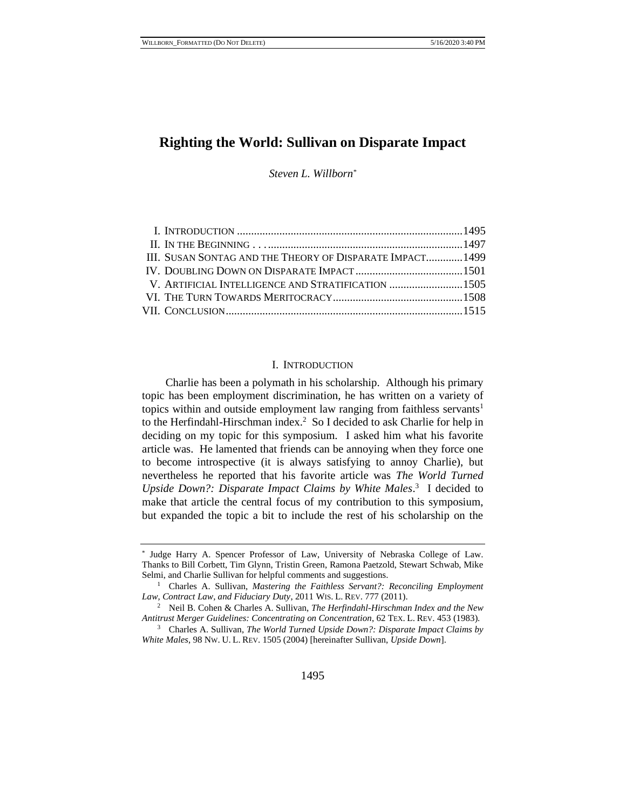# **Righting the World: Sullivan on Disparate Impact**

*Steven L. Willborn\**

| III. SUSAN SONTAG AND THE THEORY OF DISPARATE IMPACT 1499 |  |
|-----------------------------------------------------------|--|
|                                                           |  |
|                                                           |  |
|                                                           |  |
|                                                           |  |
|                                                           |  |

## <span id="page-0-0"></span>I. INTRODUCTION

Charlie has been a polymath in his scholarship. Although his primary topic has been employment discrimination, he has written on a variety of topics within and outside employment law ranging from faithless servants<sup>1</sup> to the Herfindahl-Hirschman index.<sup>2</sup> So I decided to ask Charlie for help in deciding on my topic for this symposium. I asked him what his favorite article was. He lamented that friends can be annoying when they force one to become introspective (it is always satisfying to annoy Charlie), but nevertheless he reported that his favorite article was *The World Turned*  Upside Down?: Disparate Impact Claims by White Males.<sup>3</sup> I decided to make that article the central focus of my contribution to this symposium, but expanded the topic a bit to include the rest of his scholarship on the

<sup>\*</sup> Judge Harry A. Spencer Professor of Law, University of Nebraska College of Law. Thanks to Bill Corbett, Tim Glynn, Tristin Green, Ramona Paetzold, Stewart Schwab, Mike Selmi, and Charlie Sullivan for helpful comments and suggestions.

<sup>&</sup>lt;sup>1</sup> Charles A. Sullivan, *Mastering the Faithless Servant?: Reconciling Employment Law, Contract Law, and Fiduciary Duty*, 2011 WIS. L. REV. 777 (2011).

<sup>2</sup> Neil B. Cohen & Charles A. Sullivan, *The Herfindahl-Hirschman Index and the New Antitrust Merger Guidelines: Concentrating on Concentration*, 62 TEX. L. REV. 453 (1983).

<sup>3</sup> Charles A. Sullivan, *The World Turned Upside Down?: Disparate Impact Claims by White Males*, 98 NW. U. L. REV. 1505 (2004) [hereinafter Sullivan, *Upside Down*].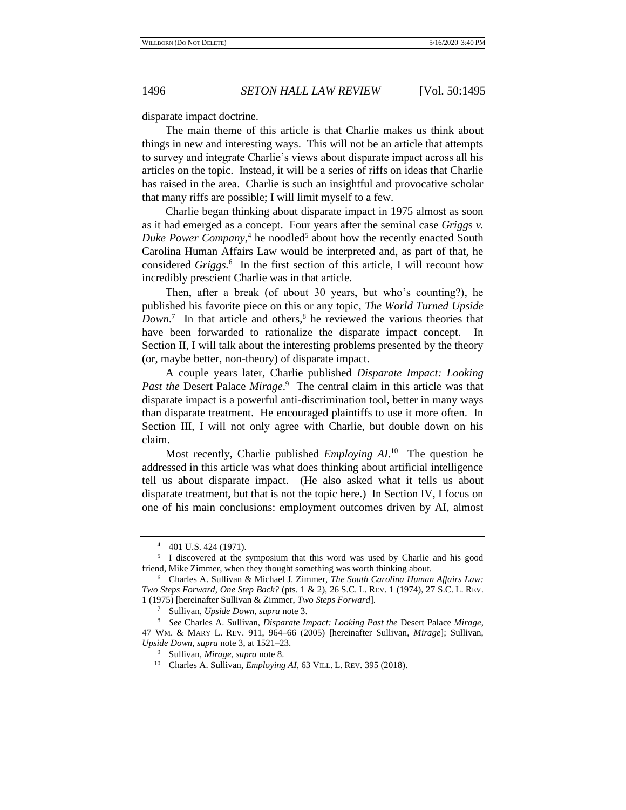disparate impact doctrine.

The main theme of this article is that Charlie makes us think about things in new and interesting ways. This will not be an article that attempts to survey and integrate Charlie's views about disparate impact across all his articles on the topic. Instead, it will be a series of riffs on ideas that Charlie has raised in the area. Charlie is such an insightful and provocative scholar that many riffs are possible; I will limit myself to a few.

Charlie began thinking about disparate impact in 1975 almost as soon as it had emerged as a concept. Four years after the seminal case *Grigg*s *v.*  Duke Power Company,<sup>4</sup> he noodled<sup>5</sup> about how the recently enacted South Carolina Human Affairs Law would be interpreted and, as part of that, he considered *Griggs.*<sup>6</sup> In the first section of this article, I will recount how incredibly prescient Charlie was in that article.

<span id="page-1-1"></span><span id="page-1-0"></span>Then, after a break (of about 30 years, but who's counting?), he published his favorite piece on this or any topic, *The World Turned Upside*  Down.<sup>7</sup> In that article and others,<sup>8</sup> he reviewed the various theories that have been forwarded to rationalize the disparate impact concept. In Section II, I will talk about the interesting problems presented by the theory (or, maybe better, non-theory) of disparate impact.

A couple years later, Charlie published *Disparate Impact: Looking Past the* Desert Palace *Mirage*. 9 The central claim in this article was that disparate impact is a powerful anti-discrimination tool, better in many ways than disparate treatment. He encouraged plaintiffs to use it more often. In Section III, I will not only agree with Charlie, but double down on his claim.

<span id="page-1-2"></span>Most recently, Charlie published *Employing AI*.<sup>10</sup> The question he addressed in this article was what does thinking about artificial intelligence tell us about disparate impact. (He also asked what it tells us about disparate treatment, but that is not the topic here.) In Section IV, I focus on one of his main conclusions: employment outcomes driven by AI, almost

<sup>4</sup> 401 U.S. 424 (1971).

<sup>&</sup>lt;sup>5</sup> I discovered at the symposium that this word was used by Charlie and his good friend, Mike Zimmer, when they thought something was worth thinking about.

<sup>6</sup> Charles A. Sullivan & Michael J. Zimmer, *The South Carolina Human Affairs Law: Two Steps Forward, One Step Back?* (pts. 1 & 2), 26 S.C. L. REV. 1 (1974), 27 S.C. L. REV. 1 (1975) [hereinafter Sullivan & Zimmer, *Two Steps Forward*].

<sup>7</sup> Sullivan, *Upside Down, supra* note [3.](#page-0-0)

<sup>8</sup> *See* Charles A. Sullivan, *Disparate Impact: Looking Past the* Desert Palace *Mirage*, 47 WM. & MARY L. REV. 911, 964–66 (2005) [hereinafter Sullivan, *Mirage*]; Sullivan, *Upside Down, supra* not[e 3,](#page-0-0) at 1521–23.

<sup>9</sup> Sullivan, *Mirage, supra* not[e 8.](#page-1-0)

<sup>10</sup> Charles A. Sullivan, *Employing AI*, 63 VILL. L. REV. 395 (2018).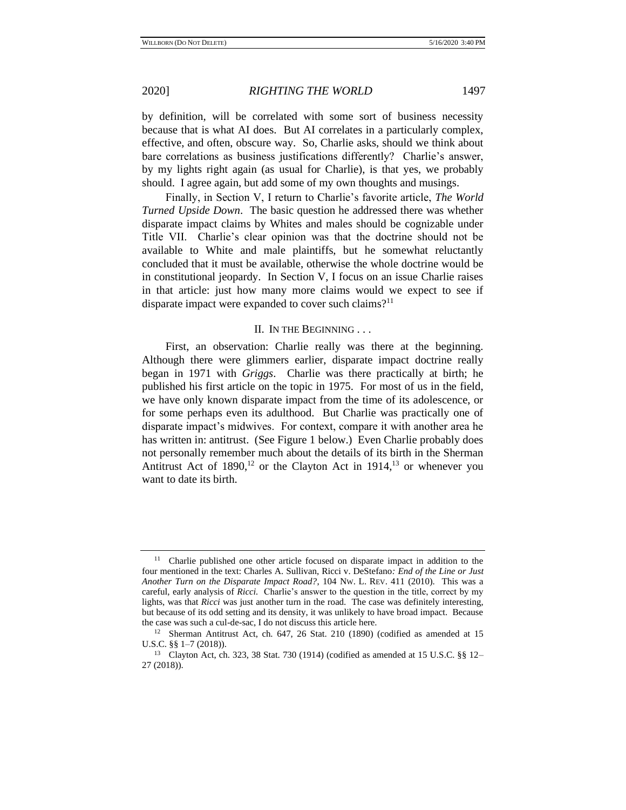by definition, will be correlated with some sort of business necessity because that is what AI does. But AI correlates in a particularly complex, effective, and often, obscure way. So, Charlie asks, should we think about bare correlations as business justifications differently? Charlie's answer, by my lights right again (as usual for Charlie), is that yes, we probably should. I agree again, but add some of my own thoughts and musings.

Finally, in Section V, I return to Charlie's favorite article, *The World Turned Upside Down*. The basic question he addressed there was whether disparate impact claims by Whites and males should be cognizable under Title VII. Charlie's clear opinion was that the doctrine should not be available to White and male plaintiffs, but he somewhat reluctantly concluded that it must be available, otherwise the whole doctrine would be in constitutional jeopardy. In Section V, I focus on an issue Charlie raises in that article: just how many more claims would we expect to see if disparate impact were expanded to cover such claims?<sup>11</sup>

### II. IN THE BEGINNING . . .

First, an observation: Charlie really was there at the beginning. Although there were glimmers earlier, disparate impact doctrine really began in 1971 with *Griggs*. Charlie was there practically at birth; he published his first article on the topic in 1975. For most of us in the field, we have only known disparate impact from the time of its adolescence, or for some perhaps even its adulthood. But Charlie was practically one of disparate impact's midwives. For context, compare it with another area he has written in: antitrust. (See Figure 1 below.) Even Charlie probably does not personally remember much about the details of its birth in the Sherman Antitrust Act of  $1890$ ,<sup>12</sup> or the Clayton Act in  $1914$ ,<sup>13</sup> or whenever you want to date its birth.

<sup>&</sup>lt;sup>11</sup> Charlie published one other article focused on disparate impact in addition to the four mentioned in the text: Charles A. Sullivan, Ricci v. DeStefano*: End of the Line or Just Another Turn on the Disparate Impact Road?*, 104 NW. L. REV. 411 (2010). This was a careful, early analysis of *Ricci.* Charlie's answer to the question in the title, correct by my lights, was that *Ricci* was just another turn in the road. The case was definitely interesting, but because of its odd setting and its density, it was unlikely to have broad impact. Because the case was such a cul-de-sac, I do not discuss this article here.

<sup>12</sup> Sherman Antitrust Act, ch. 647, 26 Stat. 210 (1890) (codified as amended at 15 U.S.C. §§ 1–7 (2018)).

<sup>13</sup> Clayton Act, ch. 323, 38 Stat. 730 (1914) (codified as amended at 15 U.S.C. §§ 12– 27 (2018)).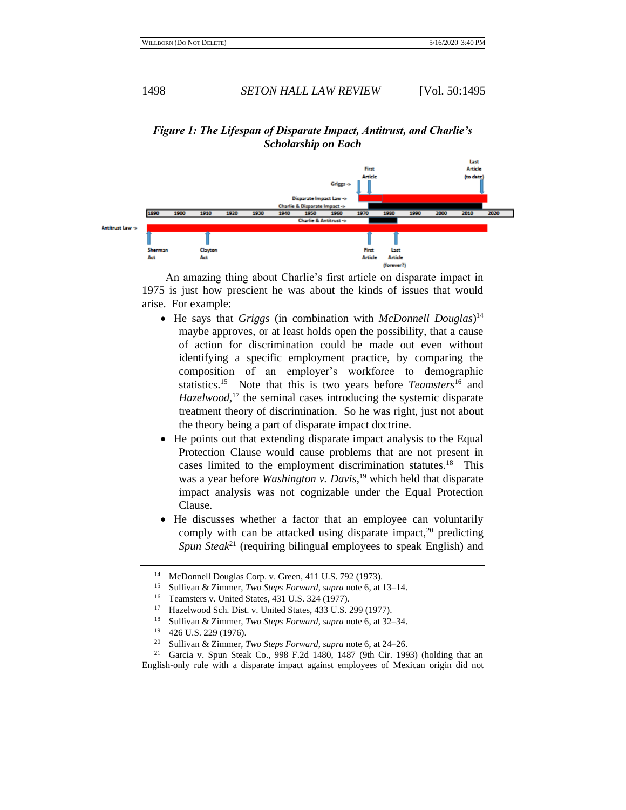# *Figure 1: The Lifespan of Disparate Impact, Antitrust, and Charlie's Scholarship on Each*



An amazing thing about Charlie's first article on disparate impact in 1975 is just how prescient he was about the kinds of issues that would arise. For example:

- He says that *Griggs* (in combination with *McDonnell Douglas*) 14 maybe approves, or at least holds open the possibility, that a cause of action for discrimination could be made out even without identifying a specific employment practice, by comparing the composition of an employer's workforce to demographic statistics.<sup>15</sup> Note that this is two years before *Teamsters*<sup>16</sup> and *Hazelwood,*<sup>17</sup> the seminal cases introducing the systemic disparate treatment theory of discrimination. So he was right, just not about the theory being a part of disparate impact doctrine.
- He points out that extending disparate impact analysis to the Equal Protection Clause would cause problems that are not present in cases limited to the employment discrimination statutes.<sup>18</sup> This was a year before *Washington v. Davis*, <sup>19</sup> which held that disparate impact analysis was not cognizable under the Equal Protection Clause.
- He discusses whether a factor that an employee can voluntarily comply with can be attacked using disparate impact,<sup>20</sup> predicting *Spun Steak*<sup>21</sup> (requiring bilingual employees to speak English) and

<sup>14</sup> McDonnell Douglas Corp. v. Green, 411 U.S. 792 (1973).

<sup>15</sup> Sullivan & Zimmer, *Two Steps Forward*, *supra* not[e 6,](#page-1-1) at 13–14.

<sup>&</sup>lt;sup>16</sup> Teamsters v. United States, 431 U.S. 324 (1977).<br><sup>17</sup> Hazalwood Sch Dist v. United States, 433 U.S.

Hazelwood Sch. Dist. v. United States, 433 U.S. 299 (1977).

<sup>18</sup> Sullivan & Zimmer*, Two Steps Forward*, *supra* not[e 6,](#page-1-1) at 32–34.

 $^{19}$  426 U.S. 229 (1976).<br><sup>20</sup> Sullivan & Zimmer

<sup>20</sup> Sullivan & Zimmer, *Two Steps Forward*, *supra* not[e 6,](#page-1-1) at 24–26.

<sup>&</sup>lt;sup>21</sup> Garcia v. Spun Steak Co., 998 F.2d 1480, 1487 (9th Cir. 1993) (holding that an English-only rule with a disparate impact against employees of Mexican origin did not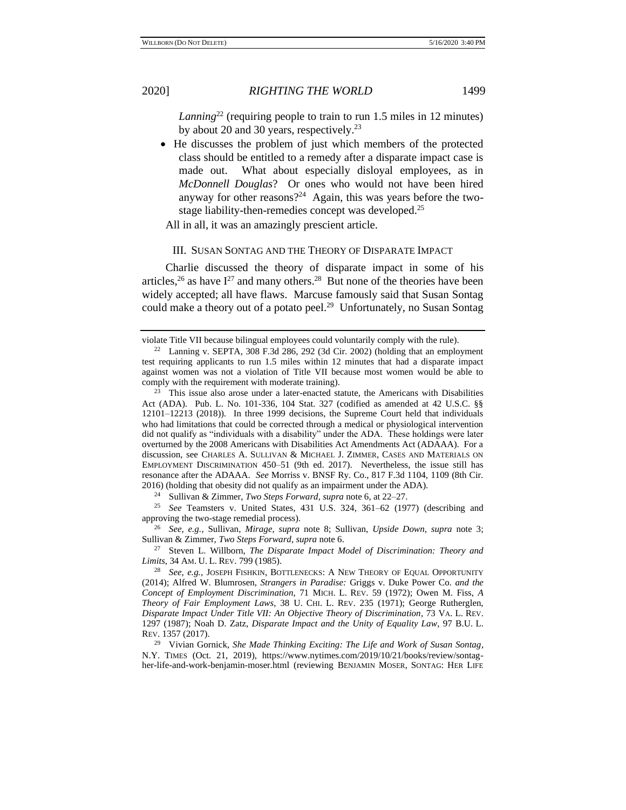*Lanning*<sup>22</sup> (requiring people to train to run 1.5 miles in 12 minutes) by about 20 and 30 years, respectively.<sup>23</sup>

• He discusses the problem of just which members of the protected class should be entitled to a remedy after a disparate impact case is made out. What about especially disloyal employees, as in *McDonnell Douglas*? Or ones who would not have been hired anyway for other reasons?<sup>24</sup> Again, this was years before the twostage liability-then-remedies concept was developed.<sup>25</sup>

All in all, it was an amazingly prescient article.

### <span id="page-4-0"></span>III. SUSAN SONTAG AND THE THEORY OF DISPARATE IMPACT

Charlie discussed the theory of disparate impact in some of his articles,<sup>26</sup> as have  $I^{27}$  and many others.<sup>28</sup> But none of the theories have been widely accepted; all have flaws. Marcuse famously said that Susan Sontag could make a theory out of a potato peel.<sup>29</sup> Unfortunately, no Susan Sontag

<sup>24</sup> Sullivan & Zimmer, *Two Steps Forward*, *supra* not[e 6,](#page-1-1) at 22–27.

<sup>25</sup> *See* Teamsters v. United States, 431 U.S. 324, 361–62 (1977) (describing and approving the two-stage remedial process).

<sup>26</sup> *See, e.g.*, Sullivan, *Mirage*, *supra* note [8;](#page-1-0) Sullivan, *Upside Down*, *supra* note [3;](#page-0-0) Sullivan & Zimmer, *Two Steps Forward*, *supra* note [6.](#page-1-1)

<sup>27</sup> Steven L. Willborn, *The Disparate Impact Model of Discrimination: Theory and Limits*, 34 AM. U. L. REV. 799 (1985).

<sup>28</sup> *See, e.g.*, JOSEPH FISHKIN, BOTTLENECKS: A NEW THEORY OF EQUAL OPPORTUNITY (2014); Alfred W. Blumrosen, *Strangers in Paradise:* Griggs v. Duke Power Co*. and the Concept of Employment Discrimination*, 71 MICH. L. REV. 59 (1972); Owen M. Fiss, *A Theory of Fair Employment Laws*, 38 U. CHI. L. REV. 235 (1971); George Rutherglen, *Disparate Impact Under Title VII: An Objective Theory of Discrimination*, 73 VA. L. REV. 1297 (1987); Noah D. Zatz, *Disparate Impact and the Unity of Equality Law*, 97 B.U. L. REV. 1357 (2017).

<sup>29</sup> Vivian Gornick, *She Made Thinking Exciting: The Life and Work of Susan Sontag*, N.Y. TIMES (Oct. 21, 2019), https://www.nytimes.com/2019/10/21/books/review/sontagher-life-and-work-benjamin-moser.html (reviewing BENJAMIN MOSER, SONTAG: HER LIFE

violate Title VII because bilingual employees could voluntarily comply with the rule).

<sup>&</sup>lt;sup>22</sup> Lanning v. SEPTA, 308 F.3d 286, 292 (3d Cir. 2002) (holding that an employment test requiring applicants to run 1.5 miles within 12 minutes that had a disparate impact against women was not a violation of Title VII because most women would be able to comply with the requirement with moderate training).

<sup>&</sup>lt;sup>23</sup> This issue also arose under a later-enacted statute, the Americans with Disabilities Act (ADA). Pub. L. No. 101-336, 104 Stat. 327 (codified as amended at 42 U.S.C. §§ 12101–12213 (2018)). In three 1999 decisions, the Supreme Court held that individuals who had limitations that could be corrected through a medical or physiological intervention did not qualify as "individuals with a disability" under the ADA. These holdings were later overturned by the 2008 Americans with Disabilities Act Amendments Act (ADAAA). For a discussion, see CHARLES A. SULLIVAN & MICHAEL J. ZIMMER, CASES AND MATERIALS ON EMPLOYMENT DISCRIMINATION 450–51 (9th ed. 2017). Nevertheless, the issue still has resonance after the ADAAA. *See* Morriss v. BNSF Ry. Co., 817 F.3d 1104, 1109 (8th Cir. 2016) (holding that obesity did not qualify as an impairment under the ADA).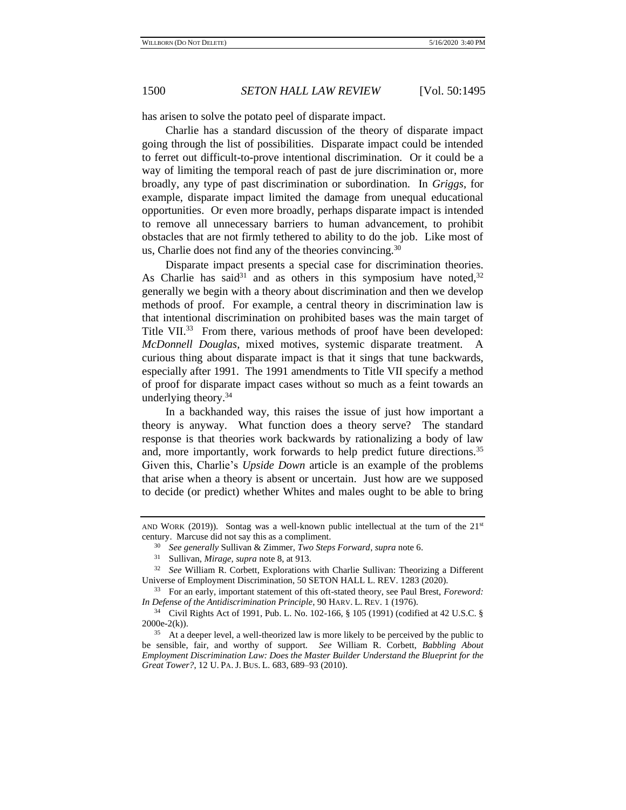has arisen to solve the potato peel of disparate impact.

Charlie has a standard discussion of the theory of disparate impact going through the list of possibilities. Disparate impact could be intended to ferret out difficult-to-prove intentional discrimination. Or it could be a way of limiting the temporal reach of past de jure discrimination or, more broadly, any type of past discrimination or subordination. In *Griggs*, for example, disparate impact limited the damage from unequal educational opportunities. Or even more broadly, perhaps disparate impact is intended to remove all unnecessary barriers to human advancement, to prohibit obstacles that are not firmly tethered to ability to do the job. Like most of us, Charlie does not find any of the theories convincing.<sup>30</sup>

Disparate impact presents a special case for discrimination theories. As Charlie has said<sup>31</sup> and as others in this symposium have noted,  $32$ generally we begin with a theory about discrimination and then we develop methods of proof. For example, a central theory in discrimination law is that intentional discrimination on prohibited bases was the main target of Title VII.<sup>33</sup> From there, various methods of proof have been developed: *McDonnell Douglas*, mixed motives, systemic disparate treatment. A curious thing about disparate impact is that it sings that tune backwards, especially after 1991. The 1991 amendments to Title VII specify a method of proof for disparate impact cases without so much as a feint towards an underlying theory. $34$ 

In a backhanded way, this raises the issue of just how important a theory is anyway. What function does a theory serve? The standard response is that theories work backwards by rationalizing a body of law and, more importantly, work forwards to help predict future directions.<sup>35</sup> Given this, Charlie's *Upside Down* article is an example of the problems that arise when a theory is absent or uncertain. Just how are we supposed to decide (or predict) whether Whites and males ought to be able to bring

AND WORK (2019)). Sontag was a well-known public intellectual at the turn of the  $21<sup>st</sup>$ century. Marcuse did not say this as a compliment.

<sup>30</sup> *See generally* Sullivan & Zimmer, *Two Steps Forward*, *supra* not[e 6.](#page-1-1)

<sup>31</sup> Sullivan, *Mirage*, *supra* not[e 8,](#page-1-0) at 913.

<sup>32</sup> *See* William R. Corbett, Explorations with Charlie Sullivan: Theorizing a Different Universe of Employment Discrimination, 50 SETON HALL L. REV. 1283 (2020).

<sup>33</sup> For an early, important statement of this oft-stated theory, see Paul Brest, *Foreword: In Defense of the Antidiscrimination Principle*, 90 HARV. L. REV. 1 (1976).

<sup>34</sup> Civil Rights Act of 1991, Pub. L. No. 102-166, § 105 (1991) (codified at 42 U.S.C. §  $2000e-2(k)$ ).

<sup>&</sup>lt;sup>35</sup> At a deeper level, a well-theorized law is more likely to be perceived by the public to be sensible, fair, and worthy of support. *See* William R. Corbett, *Babbling About Employment Discrimination Law: Does the Master Builder Understand the Blueprint for the Great Tower?*, 12 U. PA. J. BUS. L. 683, 689–93 (2010).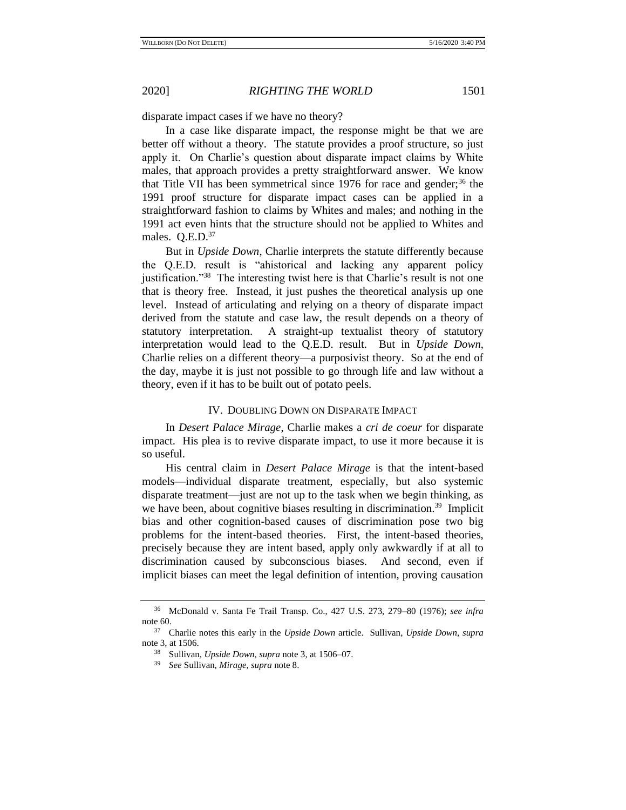disparate impact cases if we have no theory?

In a case like disparate impact, the response might be that we are better off without a theory. The statute provides a proof structure, so just apply it. On Charlie's question about disparate impact claims by White males, that approach provides a pretty straightforward answer. We know that Title VII has been symmetrical since  $1976$  for race and gender;<sup>36</sup> the 1991 proof structure for disparate impact cases can be applied in a straightforward fashion to claims by Whites and males; and nothing in the 1991 act even hints that the structure should not be applied to Whites and males. Q.E.D.<sup>37</sup>

But in *Upside Down*, Charlie interprets the statute differently because the Q.E.D. result is "ahistorical and lacking any apparent policy justification."<sup>38</sup> The interesting twist here is that Charlie's result is not one that is theory free. Instead, it just pushes the theoretical analysis up one level. Instead of articulating and relying on a theory of disparate impact derived from the statute and case law, the result depends on a theory of statutory interpretation. A straight-up textualist theory of statutory interpretation would lead to the Q.E.D. result. But in *Upside Down*, Charlie relies on a different theory—a purposivist theory. So at the end of the day, maybe it is just not possible to go through life and law without a theory, even if it has to be built out of potato peels.

## IV. DOUBLING DOWN ON DISPARATE IMPACT

In *Desert Palace Mirage*, Charlie makes a *cri de coeur* for disparate impact. His plea is to revive disparate impact, to use it more because it is so useful.

His central claim in *Desert Palace Mirage* is that the intent-based models—individual disparate treatment, especially, but also systemic disparate treatment—just are not up to the task when we begin thinking, as we have been, about cognitive biases resulting in discrimination.<sup>39</sup> Implicit bias and other cognition-based causes of discrimination pose two big problems for the intent-based theories. First, the intent-based theories, precisely because they are intent based, apply only awkwardly if at all to discrimination caused by subconscious biases. And second, even if implicit biases can meet the legal definition of intention, proving causation

<sup>36</sup> McDonald v. Santa Fe Trail Transp. Co., 427 U.S. 273, 279–80 (1976); *see infra* not[e 60.](#page-13-0)

<sup>37</sup> Charlie notes this early in the *Upside Down* article. Sullivan, *Upside Down*, *supra* not[e 3,](#page-0-0) at 1506.

<sup>38</sup> Sullivan, *Upside Down*, *supra* note [3,](#page-0-0) at 1506–07.

<sup>39</sup> *See* Sullivan, *Mirage*, *supra* note [8.](#page-1-0)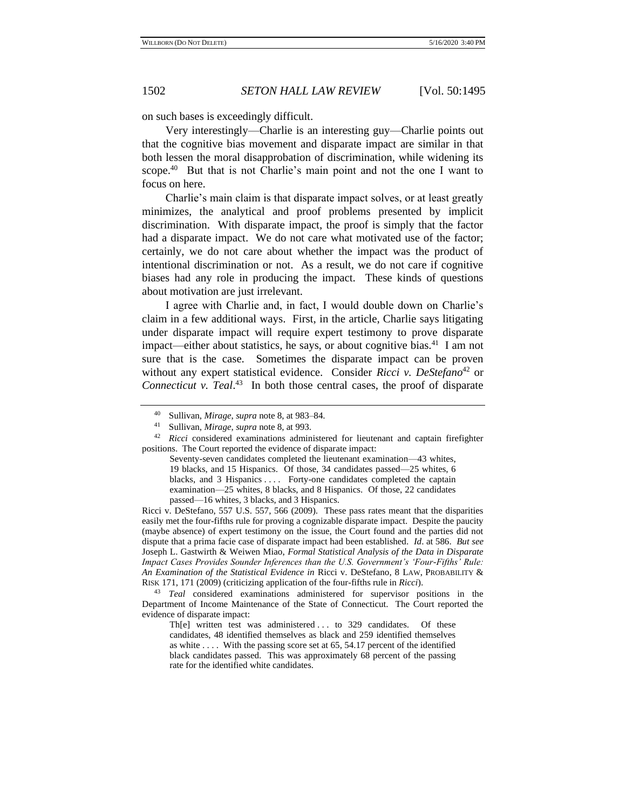on such bases is exceedingly difficult.

Very interestingly—Charlie is an interesting guy—Charlie points out that the cognitive bias movement and disparate impact are similar in that both lessen the moral disapprobation of discrimination, while widening its scope.<sup>40</sup> But that is not Charlie's main point and not the one I want to focus on here.

Charlie's main claim is that disparate impact solves, or at least greatly minimizes, the analytical and proof problems presented by implicit discrimination. With disparate impact, the proof is simply that the factor had a disparate impact. We do not care what motivated use of the factor; certainly, we do not care about whether the impact was the product of intentional discrimination or not. As a result, we do not care if cognitive biases had any role in producing the impact. These kinds of questions about motivation are just irrelevant.

I agree with Charlie and, in fact, I would double down on Charlie's claim in a few additional ways. First, in the article, Charlie says litigating under disparate impact will require expert testimony to prove disparate impact—either about statistics, he says, or about cognitive bias.<sup>41</sup> I am not sure that is the case. Sometimes the disparate impact can be proven without any expert statistical evidence. Consider *Ricci v. DeStefano*<sup>42</sup> or *Connecticut v. Teal*. 43 In both those central cases, the proof of disparate

Ricci v. DeStefano, 557 U.S. 557, 566 (2009). These pass rates meant that the disparities easily met the four-fifths rule for proving a cognizable disparate impact. Despite the paucity (maybe absence) of expert testimony on the issue, the Court found and the parties did not dispute that a prima facie case of disparate impact had been established. *Id*. at 586. *But see* Joseph L. Gastwirth & Weiwen Miao, *Formal Statistical Analysis of the Data in Disparate Impact Cases Provides Sounder Inferences than the U.S. Government's 'Four-Fifths' Rule: An Examination of the Statistical Evidence in* Ricci v. DeStefano, 8 LAW, PROBABILITY & RISK 171, 171 (2009) (criticizing application of the four-fifths rule in *Ricci*).

<sup>43</sup> *Teal* considered examinations administered for supervisor positions in the Department of Income Maintenance of the State of Connecticut. The Court reported the evidence of disparate impact:

Th[e] written test was administered ... to 329 candidates. Of these candidates, 48 identified themselves as black and 259 identified themselves as white  $\dots$ . With the passing score set at 65, 54.17 percent of the identified black candidates passed. This was approximately 68 percent of the passing rate for the identified white candidates.

<sup>40</sup> Sullivan, *Mirage*, *supra* not[e 8,](#page-1-0) at 983–84.

<sup>41</sup> Sullivan, *Mirage*, *supra* not[e 8,](#page-1-0) at 993.

<sup>42</sup> *Ricci* considered examinations administered for lieutenant and captain firefighter positions. The Court reported the evidence of disparate impact:

Seventy-seven candidates completed the lieutenant examination—43 whites, 19 blacks, and 15 Hispanics. Of those, 34 candidates passed—25 whites, 6 blacks, and 3 Hispanics . . . . Forty-one candidates completed the captain examination—25 whites, 8 blacks, and 8 Hispanics. Of those, 22 candidates passed—16 whites, 3 blacks, and 3 Hispanics.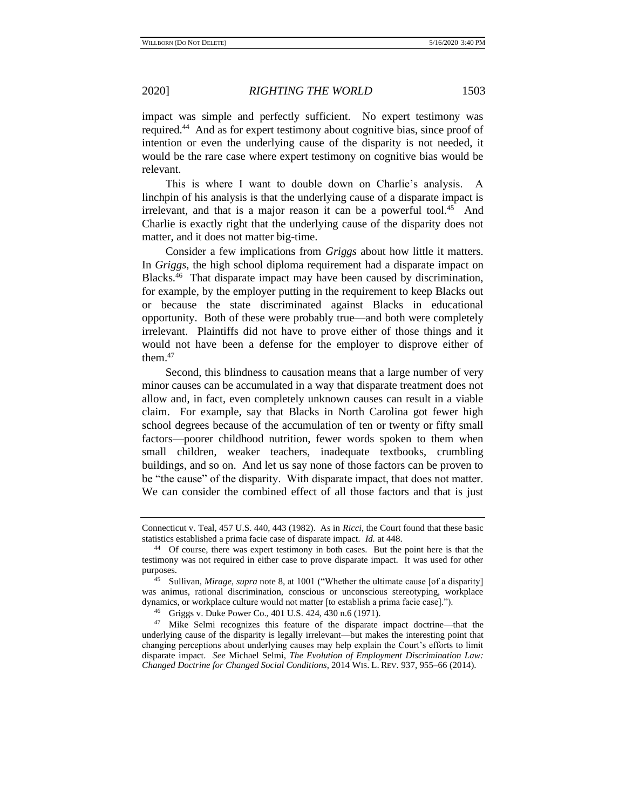impact was simple and perfectly sufficient. No expert testimony was required.<sup>44</sup> And as for expert testimony about cognitive bias, since proof of intention or even the underlying cause of the disparity is not needed, it would be the rare case where expert testimony on cognitive bias would be relevant.

This is where I want to double down on Charlie's analysis. A linchpin of his analysis is that the underlying cause of a disparate impact is irrelevant, and that is a major reason it can be a powerful tool. $45$  And Charlie is exactly right that the underlying cause of the disparity does not matter, and it does not matter big-time.

Consider a few implications from *Griggs* about how little it matters. In *Griggs*, the high school diploma requirement had a disparate impact on Blacks.<sup>46</sup> That disparate impact may have been caused by discrimination, for example, by the employer putting in the requirement to keep Blacks out or because the state discriminated against Blacks in educational opportunity. Both of these were probably true—and both were completely irrelevant. Plaintiffs did not have to prove either of those things and it would not have been a defense for the employer to disprove either of them. $47$ 

Second, this blindness to causation means that a large number of very minor causes can be accumulated in a way that disparate treatment does not allow and, in fact, even completely unknown causes can result in a viable claim. For example, say that Blacks in North Carolina got fewer high school degrees because of the accumulation of ten or twenty or fifty small factors—poorer childhood nutrition, fewer words spoken to them when small children, weaker teachers, inadequate textbooks, crumbling buildings, and so on. And let us say none of those factors can be proven to be "the cause" of the disparity. With disparate impact, that does not matter. We can consider the combined effect of all those factors and that is just

Connecticut v. Teal, 457 U.S. 440, 443 (1982). As in *Ricci*, the Court found that these basic statistics established a prima facie case of disparate impact*. Id.* at 448.

<sup>44</sup> Of course, there was expert testimony in both cases. But the point here is that the testimony was not required in either case to prove disparate impact. It was used for other purposes.

<sup>45</sup> Sullivan, *Mirage*, *supra* note [8,](#page-1-0) at 1001 ("Whether the ultimate cause [of a disparity] was animus, rational discrimination, conscious or unconscious stereotyping, workplace dynamics, or workplace culture would not matter [to establish a prima facie case].").

<sup>46</sup> Griggs v. Duke Power Co., 401 U.S. 424, 430 n.6 (1971).

<sup>&</sup>lt;sup>47</sup> Mike Selmi recognizes this feature of the disparate impact doctrine—that the underlying cause of the disparity is legally irrelevant—but makes the interesting point that changing perceptions about underlying causes may help explain the Court's efforts to limit disparate impact. *See* Michael Selmi, *The Evolution of Employment Discrimination Law: Changed Doctrine for Changed Social Conditions*, 2014 WIS. L. REV. 937, 955–66 (2014).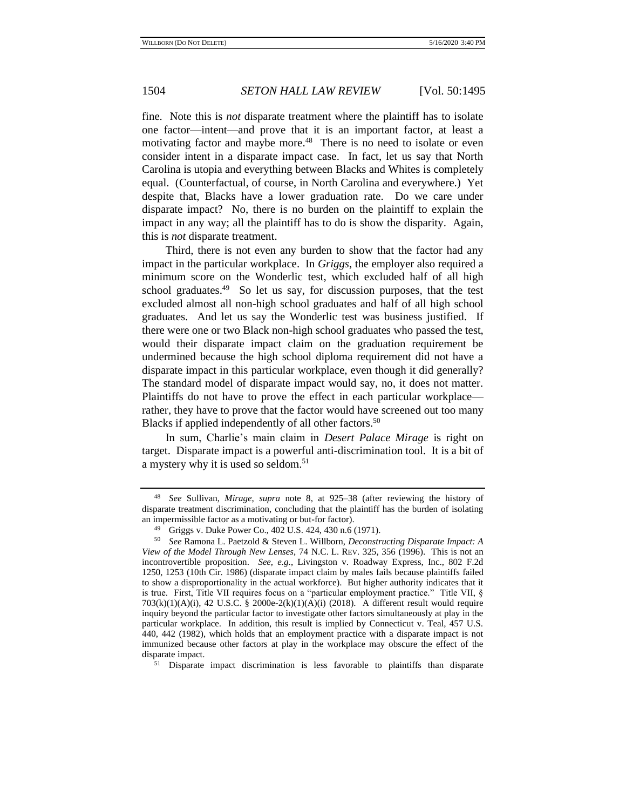fine. Note this is *not* disparate treatment where the plaintiff has to isolate one factor—intent—and prove that it is an important factor, at least a motivating factor and maybe more.<sup>48</sup> There is no need to isolate or even consider intent in a disparate impact case. In fact, let us say that North Carolina is utopia and everything between Blacks and Whites is completely equal. (Counterfactual, of course, in North Carolina and everywhere.) Yet despite that, Blacks have a lower graduation rate. Do we care under disparate impact? No, there is no burden on the plaintiff to explain the impact in any way; all the plaintiff has to do is show the disparity. Again, this is *not* disparate treatment.

Third, there is not even any burden to show that the factor had any impact in the particular workplace. In *Griggs*, the employer also required a minimum score on the Wonderlic test, which excluded half of all high school graduates.<sup>49</sup> So let us say, for discussion purposes, that the test excluded almost all non-high school graduates and half of all high school graduates. And let us say the Wonderlic test was business justified. If there were one or two Black non-high school graduates who passed the test, would their disparate impact claim on the graduation requirement be undermined because the high school diploma requirement did not have a disparate impact in this particular workplace, even though it did generally? The standard model of disparate impact would say, no, it does not matter. Plaintiffs do not have to prove the effect in each particular workplace rather, they have to prove that the factor would have screened out too many Blacks if applied independently of all other factors.<sup>50</sup>

<span id="page-9-0"></span>In sum, Charlie's main claim in *Desert Palace Mirage* is right on target. Disparate impact is a powerful anti-discrimination tool. It is a bit of a mystery why it is used so seldom.<sup>51</sup>

<sup>51</sup> Disparate impact discrimination is less favorable to plaintiffs than disparate

<sup>48</sup> *See* Sullivan, *Mirage*, *supra* note [8,](#page-1-0) at 925–38 (after reviewing the history of disparate treatment discrimination, concluding that the plaintiff has the burden of isolating an impermissible factor as a motivating or but-for factor).

<sup>49</sup> Griggs v. Duke Power Co., 402 U.S. 424, 430 n.6 (1971).

<sup>50</sup> *See* Ramona L. Paetzold & Steven L. Willborn, *Deconstructing Disparate Impact: A View of the Model Through New Lenses*, 74 N.C. L. REV. 325, 356 (1996). This is not an incontrovertible proposition. *See, e.g.*, Livingston v. Roadway Express, Inc., 802 F.2d 1250, 1253 (10th Cir. 1986) (disparate impact claim by males fails because plaintiffs failed to show a disproportionality in the actual workforce). But higher authority indicates that it is true. First, Title VII requires focus on a "particular employment practice." Title VII, § 703(k)(1)(A)(i), 42 U.S.C. § 2000e-2(k)(1)(A)(i) (2018). A different result would require inquiry beyond the particular factor to investigate other factors simultaneously at play in the particular workplace. In addition, this result is implied by Connecticut v. Teal, 457 U.S. 440, 442 (1982), which holds that an employment practice with a disparate impact is not immunized because other factors at play in the workplace may obscure the effect of the disparate impact.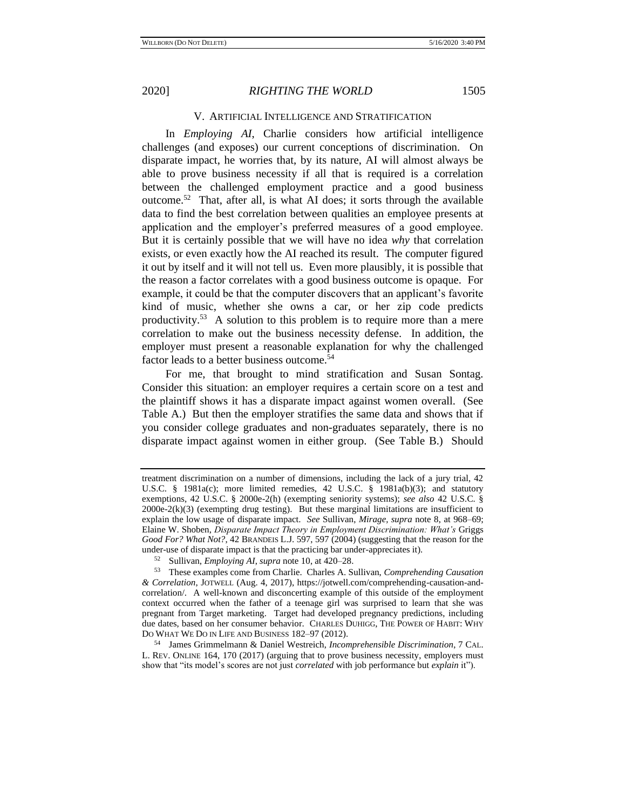## V. ARTIFICIAL INTELLIGENCE AND STRATIFICATION

In *Employing AI*, Charlie considers how artificial intelligence challenges (and exposes) our current conceptions of discrimination. On disparate impact, he worries that, by its nature, AI will almost always be able to prove business necessity if all that is required is a correlation between the challenged employment practice and a good business outcome.<sup>52</sup> That, after all, is what AI does; it sorts through the available data to find the best correlation between qualities an employee presents at application and the employer's preferred measures of a good employee. But it is certainly possible that we will have no idea *why* that correlation exists, or even exactly how the AI reached its result. The computer figured it out by itself and it will not tell us. Even more plausibly, it is possible that the reason a factor correlates with a good business outcome is opaque. For example, it could be that the computer discovers that an applicant's favorite kind of music, whether she owns a car, or her zip code predicts productivity.<sup>53</sup> A solution to this problem is to require more than a mere correlation to make out the business necessity defense. In addition, the employer must present a reasonable explanation for why the challenged factor leads to a better business outcome.<sup>54</sup>

For me, that brought to mind stratification and Susan Sontag. Consider this situation: an employer requires a certain score on a test and the plaintiff shows it has a disparate impact against women overall. (See Table A.) But then the employer stratifies the same data and shows that if you consider college graduates and non-graduates separately, there is no disparate impact against women in either group. (See Table B.) Should

treatment discrimination on a number of dimensions, including the lack of a jury trial, 42 U.S.C. § 1981a(c); more limited remedies, 42 U.S.C. § 1981a(b)(3); and statutory exemptions, 42 U.S.C. § 2000e-2(h) (exempting seniority systems); *see also* 42 U.S.C. §  $2000e-2(k)(3)$  (exempting drug testing). But these marginal limitations are insufficient to explain the low usage of disparate impact. *See* Sullivan, *Mirage, supra* note [8,](#page-1-0) at 968–69; Elaine W. Shoben, *Disparate Impact Theory in Employment Discrimination: What's* Griggs *Good For? What Not?*, 42 BRANDEIS L.J. 597, 597 (2004) (suggesting that the reason for the under-use of disparate impact is that the practicing bar under-appreciates it).

<sup>52</sup> Sullivan, *Employing AI*, *supra* not[e 10,](#page-1-2) at 420–28.

<sup>53</sup> These examples come from Charlie. Charles A. Sullivan, *Comprehending Causation & Correlation*, JOTWELL (Aug. 4, 2017), https://jotwell.com/comprehending-causation-andcorrelation/. A well-known and disconcerting example of this outside of the employment context occurred when the father of a teenage girl was surprised to learn that she was pregnant from Target marketing. Target had developed pregnancy predictions, including due dates, based on her consumer behavior. CHARLES DUHIGG, THE POWER OF HABIT: WHY DO WHAT WE DO IN LIFE AND BUSINESS 182–97 (2012).

<sup>54</sup> James Grimmelmann & Daniel Westreich, *Incomprehensible Discrimination*, 7 CAL. L. REV. ONLINE 164, 170 (2017) (arguing that to prove business necessity, employers must show that "its model's scores are not just *correlated* with job performance but *explain* it").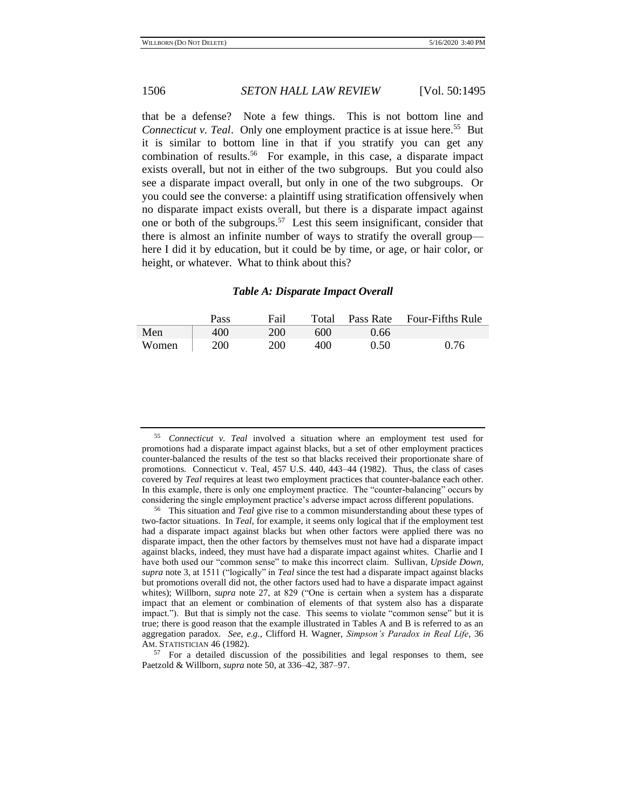that be a defense? Note a few things. This is not bottom line and Connecticut v. Teal. Only one employment practice is at issue here.<sup>55</sup> But it is similar to bottom line in that if you stratify you can get any combination of results.<sup>56</sup> For example, in this case, a disparate impact exists overall, but not in either of the two subgroups. But you could also see a disparate impact overall, but only in one of the two subgroups. Or you could see the converse: a plaintiff using stratification offensively when no disparate impact exists overall, but there is a disparate impact against one or both of the subgroups.<sup>57</sup> Lest this seem insignificant, consider that there is almost an infinite number of ways to stratify the overall group here I did it by education, but it could be by time, or age, or hair color, or height, or whatever. What to think about this?

## *Table A: Disparate Impact Overall*

|       | Pass | Fail       | Total |      | Pass Rate Four-Fifths Rule |
|-------|------|------------|-------|------|----------------------------|
| Men   | 400  | 200        | 600   | 0.66 |                            |
| Women | 200  | <b>200</b> | 400   | 0.50 | 0.76                       |

<sup>57</sup> For a detailed discussion of the possibilities and legal responses to them, see Paetzold & Willborn, *supra* note [50,](#page-9-0) at 336–42, 387–97.

<sup>55</sup> *Connecticut v. Teal* involved a situation where an employment test used for promotions had a disparate impact against blacks, but a set of other employment practices counter-balanced the results of the test so that blacks received their proportionate share of promotions. Connecticut v. Teal, 457 U.S. 440, 443–44 (1982). Thus, the class of cases covered by *Teal* requires at least two employment practices that counter-balance each other. In this example, there is only one employment practice. The "counter-balancing" occurs by considering the single employment practice's adverse impact across different populations.

<sup>56</sup> This situation and *Teal* give rise to a common misunderstanding about these types of two-factor situations. In *Teal,* for example, it seems only logical that if the employment test had a disparate impact against blacks but when other factors were applied there was no disparate impact, then the other factors by themselves must not have had a disparate impact against blacks, indeed, they must have had a disparate impact against whites. Charlie and I have both used our "common sense" to make this incorrect claim. Sullivan, *Upside Down, supra* not[e 3,](#page-0-0) at 1511 ("logically" in *Teal* since the test had a disparate impact against blacks but promotions overall did not, the other factors used had to have a disparate impact against whites); Willborn, *supra* note [27,](#page-4-0) at 829 ("One is certain when a system has a disparate impact that an element or combination of elements of that system also has a disparate impact."). But that is simply not the case. This seems to violate "common sense" but it is true; there is good reason that the example illustrated in Tables A and B is referred to as an aggregation paradox. *See, e.g.*, Clifford H. Wagner, *Simpson's Paradox in Real Life*, 36 AM. STATISTICIAN 46 (1982).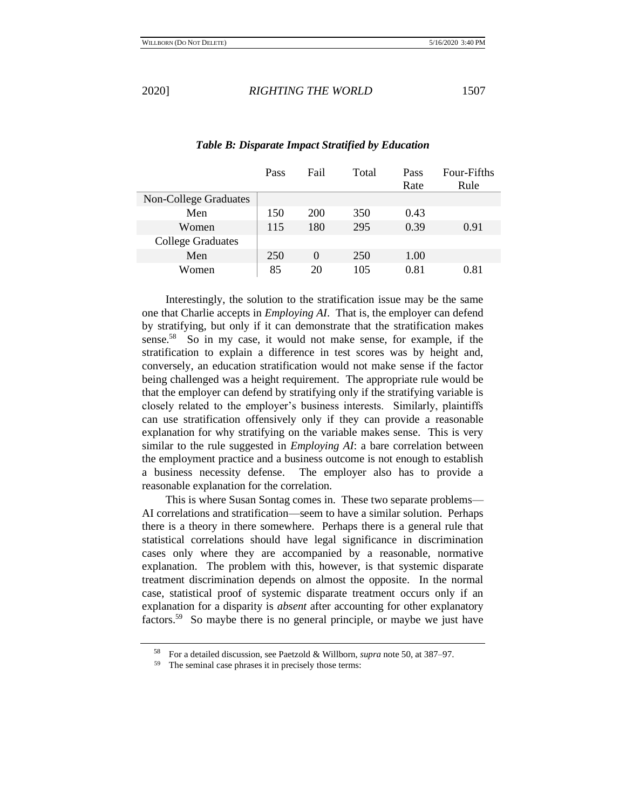Pass Fail Total Pass Rate Four-Fifths Rule Non-College Graduates Men | 150 200 350 0.43 Women | 115 180 295 0.39 0.91 College Graduates Men | 250 0 250 1.00 Women 85 20 105 0.81 0.81

## *Table B: Disparate Impact Stratified by Education*

Interestingly, the solution to the stratification issue may be the same one that Charlie accepts in *Employing AI*. That is, the employer can defend by stratifying, but only if it can demonstrate that the stratification makes sense.<sup>58</sup> So in my case, it would not make sense, for example, if the stratification to explain a difference in test scores was by height and, conversely, an education stratification would not make sense if the factor being challenged was a height requirement. The appropriate rule would be that the employer can defend by stratifying only if the stratifying variable is closely related to the employer's business interests. Similarly, plaintiffs can use stratification offensively only if they can provide a reasonable explanation for why stratifying on the variable makes sense. This is very similar to the rule suggested in *Employing AI*: a bare correlation between the employment practice and a business outcome is not enough to establish a business necessity defense. The employer also has to provide a reasonable explanation for the correlation.

This is where Susan Sontag comes in. These two separate problems— AI correlations and stratification—seem to have a similar solution. Perhaps there is a theory in there somewhere. Perhaps there is a general rule that statistical correlations should have legal significance in discrimination cases only where they are accompanied by a reasonable, normative explanation. The problem with this, however, is that systemic disparate treatment discrimination depends on almost the opposite. In the normal case, statistical proof of systemic disparate treatment occurs only if an explanation for a disparity is *absent* after accounting for other explanatory factors.<sup>59</sup> So maybe there is no general principle, or maybe we just have

<sup>&</sup>lt;sup>58</sup> For a detailed discussion, see Paetzold & Willborn, *supra* not[e 50,](#page-9-0) at 387–97.

The seminal case phrases it in precisely those terms: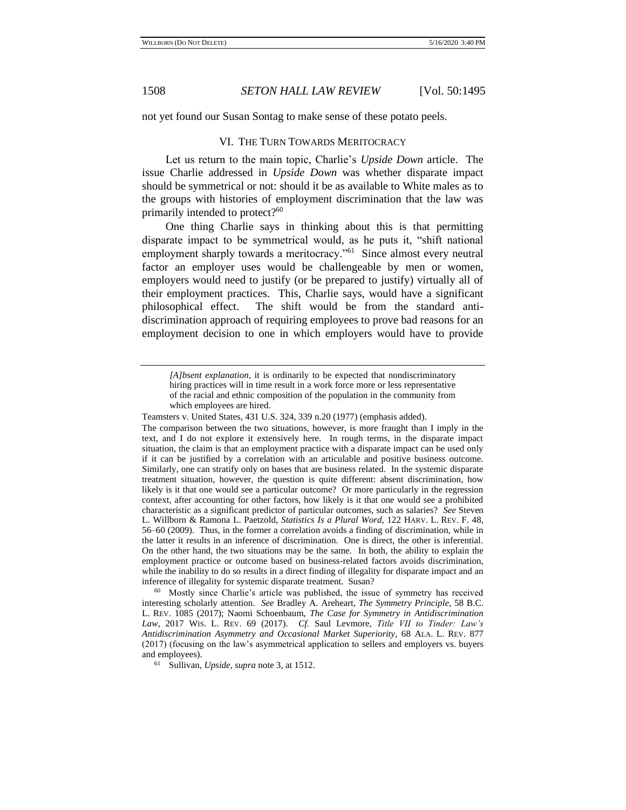not yet found our Susan Sontag to make sense of these potato peels.

### <span id="page-13-0"></span>VI. THE TURN TOWARDS MERITOCRACY

Let us return to the main topic, Charlie's *Upside Down* article. The issue Charlie addressed in *Upside Down* was whether disparate impact should be symmetrical or not: should it be as available to White males as to the groups with histories of employment discrimination that the law was primarily intended to protect?<sup>60</sup>

One thing Charlie says in thinking about this is that permitting disparate impact to be symmetrical would, as he puts it, "shift national employment sharply towards a meritocracy."<sup>61</sup> Since almost every neutral factor an employer uses would be challengeable by men or women, employers would need to justify (or be prepared to justify) virtually all of their employment practices. This, Charlie says, would have a significant philosophical effect. The shift would be from the standard antidiscrimination approach of requiring employees to prove bad reasons for an employment decision to one in which employers would have to provide

<sup>60</sup> Mostly since Charlie's article was published, the issue of symmetry has received interesting scholarly attention. *See* Bradley A. Areheart, *The Symmetry Principle*, 58 B.C. L. REV. 1085 (2017); Naomi Schoenbaum, *The Case for Symmetry in Antidiscrimination Law*, 2017 WIS. L. REV. 69 (2017). *Cf.* Saul Levmore, *Title VII to Tinder: Law's Antidiscrimination Asymmetry and Occasional Market Superiority*, 68 ALA. L. REV. 877 (2017) (focusing on the law's asymmetrical application to sellers and employers vs. buyers and employees).

<sup>61</sup> Sullivan, *Upside, supra* not[e 3,](#page-0-0) at 1512.

*<sup>[</sup>A]bsent explanation*, it is ordinarily to be expected that nondiscriminatory hiring practices will in time result in a work force more or less representative of the racial and ethnic composition of the population in the community from which employees are hired.

Teamsters v. United States, 431 U.S. 324, 339 n.20 (1977) (emphasis added).

The comparison between the two situations, however, is more fraught than I imply in the text, and I do not explore it extensively here. In rough terms, in the disparate impact situation, the claim is that an employment practice with a disparate impact can be used only if it can be justified by a correlation with an articulable and positive business outcome. Similarly, one can stratify only on bases that are business related. In the systemic disparate treatment situation, however, the question is quite different: absent discrimination, how likely is it that one would see a particular outcome? Or more particularly in the regression context, after accounting for other factors, how likely is it that one would see a prohibited characteristic as a significant predictor of particular outcomes, such as salaries? *See* Steven L. Willborn & Ramona L. Paetzold, *Statistics Is a Plural Word*, 122 HARV. L. REV. F. 48, 56–60 (2009). Thus, in the former a correlation avoids a finding of discrimination, while in the latter it results in an inference of discrimination. One is direct, the other is inferential. On the other hand, the two situations may be the same. In both, the ability to explain the employment practice or outcome based on business-related factors avoids discrimination, while the inability to do so results in a direct finding of illegality for disparate impact and an inference of illegality for systemic disparate treatment. Susan?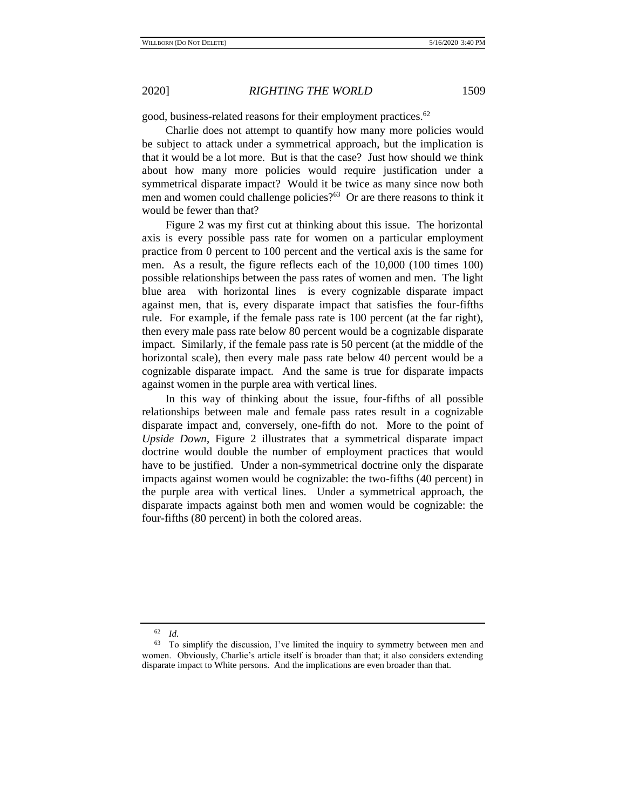good, business-related reasons for their employment practices.<sup>62</sup>

Charlie does not attempt to quantify how many more policies would be subject to attack under a symmetrical approach, but the implication is that it would be a lot more. But is that the case? Just how should we think about how many more policies would require justification under a symmetrical disparate impact? Would it be twice as many since now both men and women could challenge policies?<sup>63</sup> Or are there reasons to think it would be fewer than that?

Figure 2 was my first cut at thinking about this issue. The horizontal axis is every possible pass rate for women on a particular employment practice from 0 percent to 100 percent and the vertical axis is the same for men. As a result, the figure reflects each of the 10,000 (100 times 100) possible relationships between the pass rates of women and men. The light blue area with horizontal lines is every cognizable disparate impact against men, that is, every disparate impact that satisfies the four-fifths rule. For example, if the female pass rate is 100 percent (at the far right), then every male pass rate below 80 percent would be a cognizable disparate impact. Similarly, if the female pass rate is 50 percent (at the middle of the horizontal scale), then every male pass rate below 40 percent would be a cognizable disparate impact. And the same is true for disparate impacts against women in the purple area with vertical lines.

In this way of thinking about the issue, four-fifths of all possible relationships between male and female pass rates result in a cognizable disparate impact and, conversely, one-fifth do not. More to the point of *Upside Down*, Figure 2 illustrates that a symmetrical disparate impact doctrine would double the number of employment practices that would have to be justified. Under a non-symmetrical doctrine only the disparate impacts against women would be cognizable: the two-fifths (40 percent) in the purple area with vertical lines. Under a symmetrical approach, the disparate impacts against both men and women would be cognizable: the four-fifths (80 percent) in both the colored areas.

<sup>62</sup> *Id.*

<sup>63</sup> To simplify the discussion, I've limited the inquiry to symmetry between men and women. Obviously, Charlie's article itself is broader than that; it also considers extending disparate impact to White persons. And the implications are even broader than that.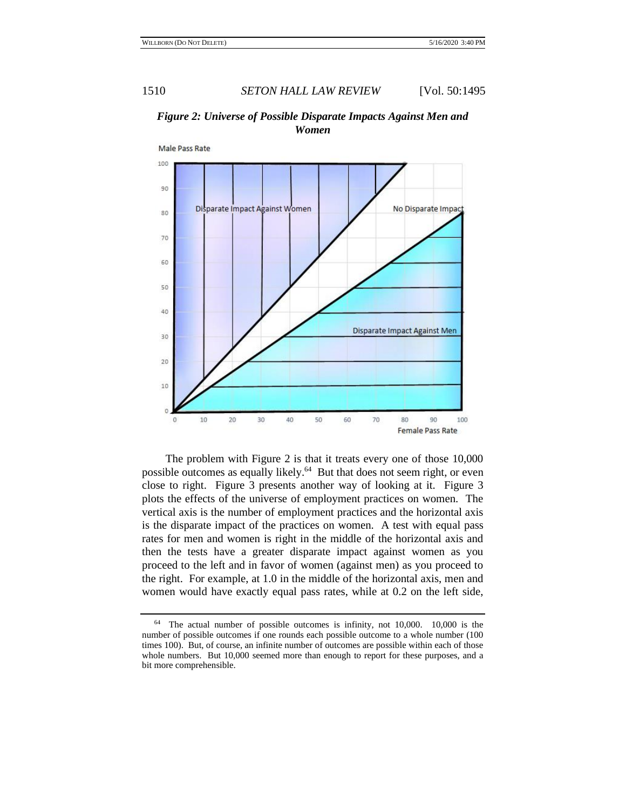

## *Figure 2: Universe of Possible Disparate Impacts Against Men and Women*

The problem with Figure 2 is that it treats every one of those 10,000 possible outcomes as equally likely.<sup>64</sup> But that does not seem right, or even close to right. Figure 3 presents another way of looking at it. Figure 3 plots the effects of the universe of employment practices on women. The vertical axis is the number of employment practices and the horizontal axis is the disparate impact of the practices on women. A test with equal pass rates for men and women is right in the middle of the horizontal axis and then the tests have a greater disparate impact against women as you proceed to the left and in favor of women (against men) as you proceed to the right. For example, at 1.0 in the middle of the horizontal axis, men and women would have exactly equal pass rates, while at 0.2 on the left side,

<sup>64</sup> The actual number of possible outcomes is infinity, not 10,000. 10,000 is the number of possible outcomes if one rounds each possible outcome to a whole number (100 times 100). But, of course, an infinite number of outcomes are possible within each of those whole numbers. But 10,000 seemed more than enough to report for these purposes, and a bit more comprehensible.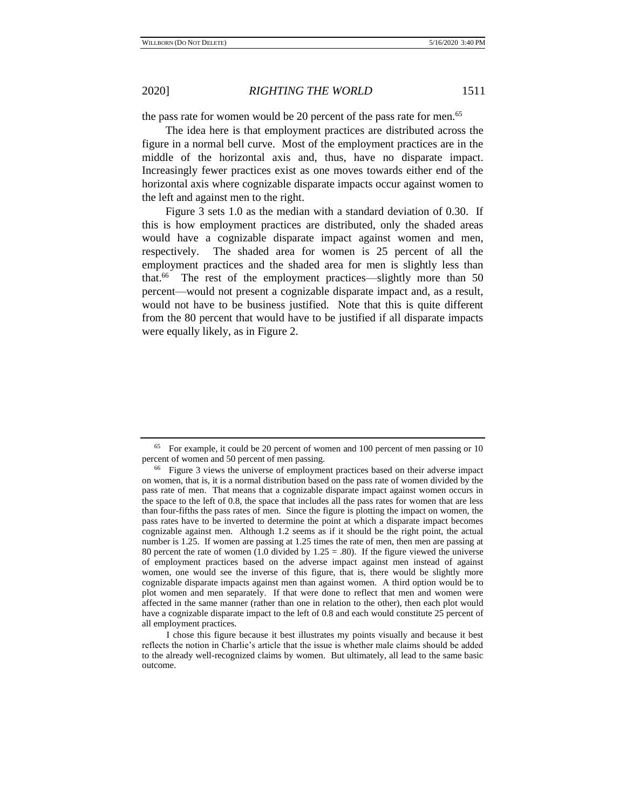the pass rate for women would be 20 percent of the pass rate for men.<sup>65</sup>

The idea here is that employment practices are distributed across the figure in a normal bell curve. Most of the employment practices are in the middle of the horizontal axis and, thus, have no disparate impact. Increasingly fewer practices exist as one moves towards either end of the horizontal axis where cognizable disparate impacts occur against women to the left and against men to the right.

Figure 3 sets 1.0 as the median with a standard deviation of 0.30. If this is how employment practices are distributed, only the shaded areas would have a cognizable disparate impact against women and men, respectively. The shaded area for women is 25 percent of all the employment practices and the shaded area for men is slightly less than that.<sup>66</sup> The rest of the employment practices—slightly more than 50 percent—would not present a cognizable disparate impact and, as a result, would not have to be business justified. Note that this is quite different from the 80 percent that would have to be justified if all disparate impacts were equally likely, as in Figure 2.

<sup>65</sup> For example, it could be 20 percent of women and 100 percent of men passing or 10 percent of women and 50 percent of men passing.

<sup>66</sup> Figure 3 views the universe of employment practices based on their adverse impact on women, that is, it is a normal distribution based on the pass rate of women divided by the pass rate of men. That means that a cognizable disparate impact against women occurs in the space to the left of 0.8, the space that includes all the pass rates for women that are less than four-fifths the pass rates of men. Since the figure is plotting the impact on women, the pass rates have to be inverted to determine the point at which a disparate impact becomes cognizable against men. Although 1.2 seems as if it should be the right point, the actual number is 1.25. If women are passing at 1.25 times the rate of men, then men are passing at 80 percent the rate of women  $(1.0 \text{ divided by } 1.25 = .80)$ . If the figure viewed the universe of employment practices based on the adverse impact against men instead of against women, one would see the inverse of this figure, that is, there would be slightly more cognizable disparate impacts against men than against women. A third option would be to plot women and men separately. If that were done to reflect that men and women were affected in the same manner (rather than one in relation to the other), then each plot would have a cognizable disparate impact to the left of 0.8 and each would constitute 25 percent of all employment practices.

I chose this figure because it best illustrates my points visually and because it best reflects the notion in Charlie's article that the issue is whether male claims should be added to the already well-recognized claims by women. But ultimately, all lead to the same basic outcome.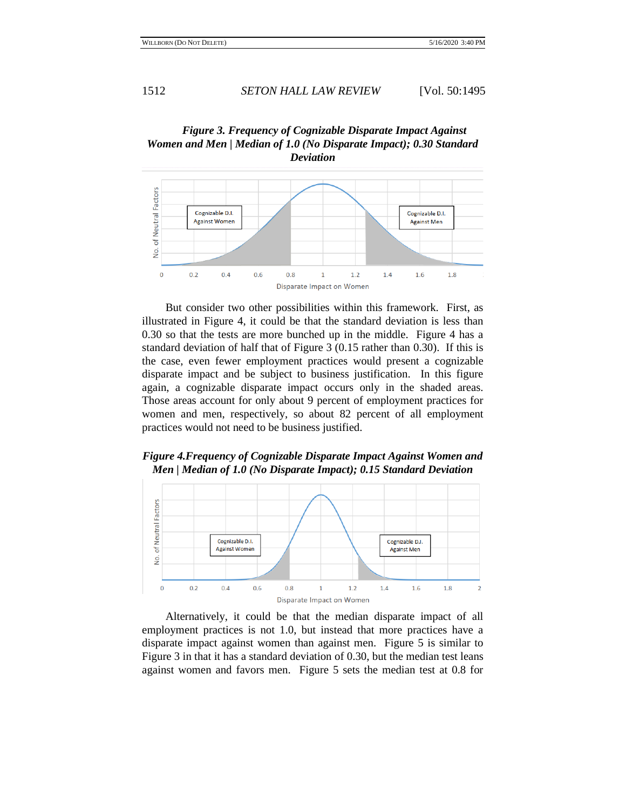



But consider two other possibilities within this framework. First, as illustrated in Figure 4, it could be that the standard deviation is less than 0.30 so that the tests are more bunched up in the middle. Figure 4 has a standard deviation of half that of Figure 3 (0.15 rather than 0.30). If this is the case, even fewer employment practices would present a cognizable disparate impact and be subject to business justification. In this figure again, a cognizable disparate impact occurs only in the shaded areas. Those areas account for only about 9 percent of employment practices for women and men, respectively, so about 82 percent of all employment practices would not need to be business justified.

# *Figure 4.Frequency of Cognizable Disparate Impact Against Women and Men | Median of 1.0 (No Disparate Impact); 0.15 Standard Deviation*



Alternatively, it could be that the median disparate impact of all employment practices is not 1.0, but instead that more practices have a disparate impact against women than against men. Figure 5 is similar to Figure 3 in that it has a standard deviation of 0.30, but the median test leans against women and favors men. Figure 5 sets the median test at 0.8 for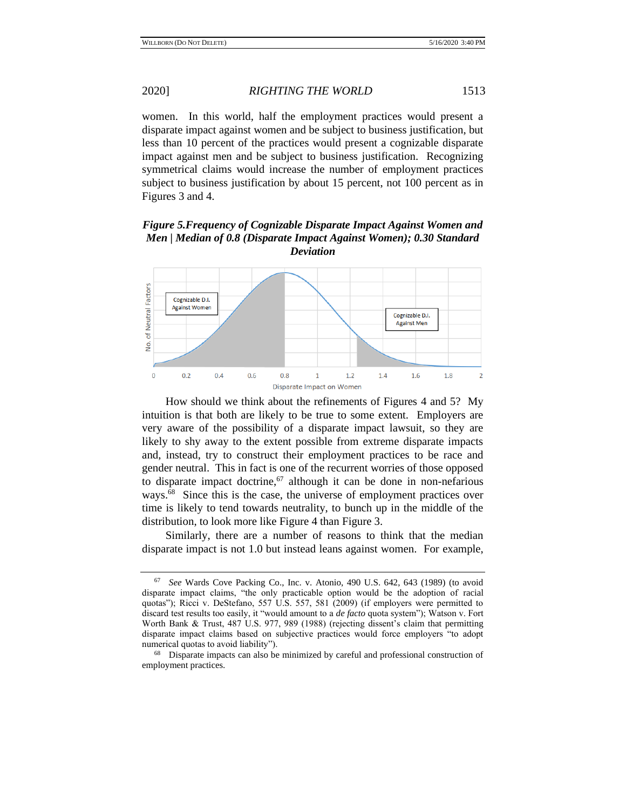women. In this world, half the employment practices would present a disparate impact against women and be subject to business justification, but less than 10 percent of the practices would present a cognizable disparate impact against men and be subject to business justification. Recognizing symmetrical claims would increase the number of employment practices subject to business justification by about 15 percent, not 100 percent as in Figures 3 and 4.

*Figure 5.Frequency of Cognizable Disparate Impact Against Women and Men | Median of 0.8 (Disparate Impact Against Women); 0.30 Standard Deviation*



How should we think about the refinements of Figures 4 and 5? My intuition is that both are likely to be true to some extent. Employers are very aware of the possibility of a disparate impact lawsuit, so they are likely to shy away to the extent possible from extreme disparate impacts and, instead, try to construct their employment practices to be race and gender neutral. This in fact is one of the recurrent worries of those opposed to disparate impact doctrine, $67$  although it can be done in non-nefarious ways.<sup>68</sup> Since this is the case, the universe of employment practices over time is likely to tend towards neutrality, to bunch up in the middle of the distribution, to look more like Figure 4 than Figure 3.

Similarly, there are a number of reasons to think that the median disparate impact is not 1.0 but instead leans against women. For example,

<sup>67</sup> *See* Wards Cove Packing Co., Inc. v. Atonio, 490 U.S. 642, 643 (1989) (to avoid disparate impact claims, "the only practicable option would be the adoption of racial quotas"); Ricci v. DeStefano, 557 U.S. 557, 581 (2009) (if employers were permitted to discard test results too easily, it "would amount to a *de facto* quota system"); Watson v. Fort Worth Bank & Trust, 487 U.S. 977, 989 (1988) (rejecting dissent's claim that permitting disparate impact claims based on subjective practices would force employers "to adopt numerical quotas to avoid liability").

<sup>&</sup>lt;sup>68</sup> Disparate impacts can also be minimized by careful and professional construction of employment practices.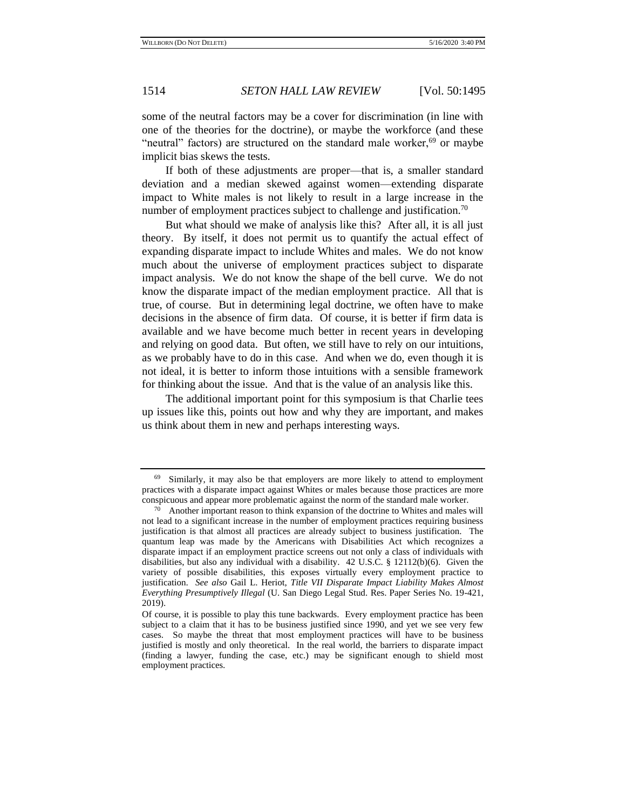some of the neutral factors may be a cover for discrimination (in line with one of the theories for the doctrine), or maybe the workforce (and these "neutral" factors) are structured on the standard male worker,  $69$  or maybe implicit bias skews the tests.

If both of these adjustments are proper—that is, a smaller standard deviation and a median skewed against women—extending disparate impact to White males is not likely to result in a large increase in the number of employment practices subject to challenge and justification.<sup>70</sup>

But what should we make of analysis like this? After all, it is all just theory. By itself, it does not permit us to quantify the actual effect of expanding disparate impact to include Whites and males. We do not know much about the universe of employment practices subject to disparate impact analysis. We do not know the shape of the bell curve. We do not know the disparate impact of the median employment practice. All that is true, of course. But in determining legal doctrine, we often have to make decisions in the absence of firm data. Of course, it is better if firm data is available and we have become much better in recent years in developing and relying on good data. But often, we still have to rely on our intuitions, as we probably have to do in this case. And when we do, even though it is not ideal, it is better to inform those intuitions with a sensible framework for thinking about the issue. And that is the value of an analysis like this.

The additional important point for this symposium is that Charlie tees up issues like this, points out how and why they are important, and makes us think about them in new and perhaps interesting ways.

<sup>69</sup> Similarly, it may also be that employers are more likely to attend to employment practices with a disparate impact against Whites or males because those practices are more conspicuous and appear more problematic against the norm of the standard male worker.

 $70$  Another important reason to think expansion of the doctrine to Whites and males will not lead to a significant increase in the number of employment practices requiring business justification is that almost all practices are already subject to business justification. The quantum leap was made by the Americans with Disabilities Act which recognizes a disparate impact if an employment practice screens out not only a class of individuals with disabilities, but also any individual with a disability. 42 U.S.C. § 12112(b)(6). Given the variety of possible disabilities, this exposes virtually every employment practice to justification. *See also* Gail L. Heriot, *Title VII Disparate Impact Liability Makes Almost Everything Presumptively Illegal* (U. San Diego Legal Stud. Res. Paper Series No. 19-421, 2019).

Of course, it is possible to play this tune backwards. Every employment practice has been subject to a claim that it has to be business justified since 1990, and yet we see very few cases. So maybe the threat that most employment practices will have to be business justified is mostly and only theoretical. In the real world, the barriers to disparate impact (finding a lawyer, funding the case, etc.) may be significant enough to shield most employment practices.